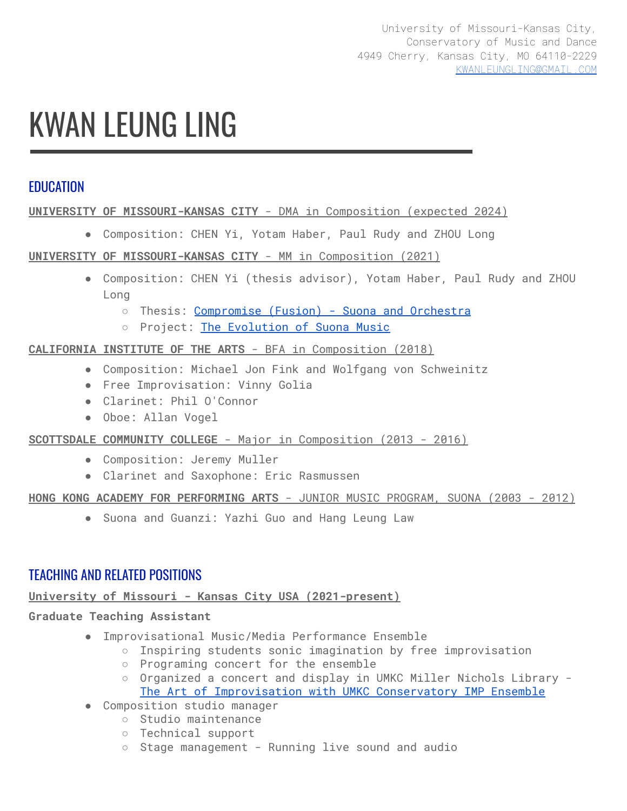# KWAN LEUNG LING

# **FDUCATION**

#### **UNIVERSITY OF MISSOURI-KANSAS CITY** - DMA in Composition (expected 2024)

● Composition: CHEN Yi, Yotam Haber, Paul Rudy and ZHOU Long

#### **UNIVERSITY OF MISSOURI-KANSAS CITY** - MM in Composition (2021)

- Composition: CHEN Yi (thesis advisor), Yotam Haber, Paul Rudy and ZHOU Long
	- Thesis: [Compromise](https://mospace.umsystem.edu/xmlui/bitstream/handle/10355/84190/Ling_umkc_0134P_11707.pdf?sequence=1&isAllowed=y) (Fusion) Suona and Orchestra
	- Project: The [Evolution](https://www.evolutionofsuona.com/) of Suona Music

#### **CALIFORNIA INSTITUTE OF THE ARTS** - BFA in Composition (2018)

- Composition: Michael Jon Fink and Wolfgang von Schweinitz
- Free Improvisation: Vinny Golia
- Clarinet: Phil O'Connor
- Oboe: Allan Vogel

#### **SCOTTSDALE COMMUNITY COLLEGE** - Major in Composition (2013 - 2016)

- Composition: Jeremy Muller
- Clarinet and Saxophone: Eric Rasmussen

#### **HONG KONG ACADEMY FOR PERFORMING ARTS** - JUNIOR MUSIC PROGRAM, SUONA (2003 - 2012)

● Suona and Guanzi: Yazhi Guo and Hang Leung Law

# TEACHING AND RELATED POSITIONS

## **University of Missouri - Kansas City USA (2021-present)**

#### **Graduate Teaching Assistant**

- Improvisational Music/Media Performance Ensemble
	- Inspiring students sonic imagination by free improvisation
	- Programing concert for the ensemble
	- Organized a concert and display in UMKC Miller Nichols Library The Art of [Improvisation](https://library.umkc.edu/news-events/ensemble) with UMKC Conservatory IMP Ensemble
- Composition studio manager
	- Studio maintenance
		- Technical support
		- Stage management Running live sound and audio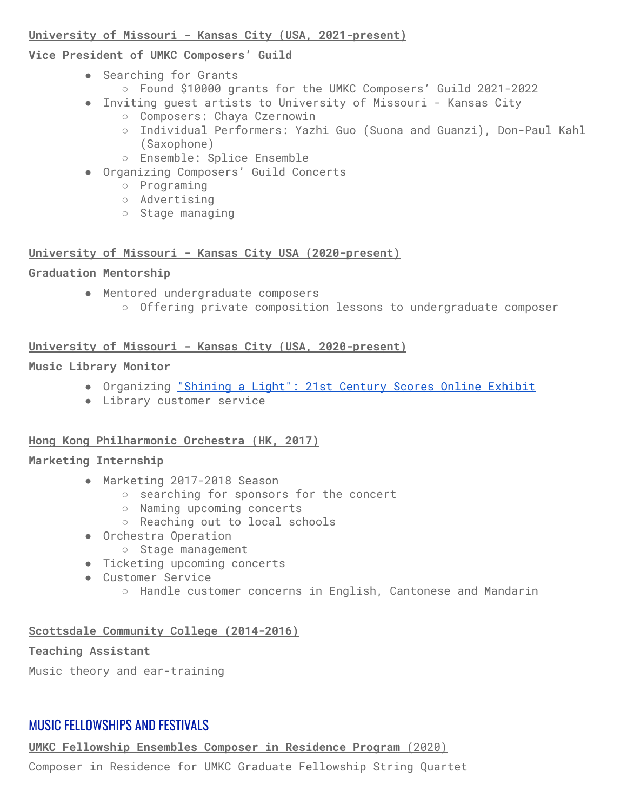#### **University of Missouri - Kansas City (USA, 2021-present)**

## **Vice President of UMKC Composers' Guild**

- Searching for Grants
	- Found \$10000 grants for the UMKC Composers' Guild 2021-2022
- Inviting guest artists to University of Missouri Kansas City
	- Composers: Chaya Czernowin
	- Individual Performers: Yazhi Guo (Suona and Guanzi), Don-Paul Kahl (Saxophone)
	- Ensemble: Splice Ensemble
- Organizing Composers' Guild Concerts
	- Programing
	- Advertising
	- Stage managing

# **University of Missouri - Kansas City USA (2020-present)**

# **Graduation Mentorship**

- Mentored undergraduate composers
	- Offering private composition lessons to undergraduate composer

# **University of Missouri - Kansas City (USA, 2020-present)**

# **Music Library Monitor**

- Organizing ["Shining](https://exhibits.library.umkc.edu/s/shining-a-light/page/about) a Light": 21st Century Scores Online Exhibit
- Library customer service

# **Hong Kong Philharmonic Orchestra (HK, 2017)**

# **Marketing Internship**

- Marketing 2017-2018 Season
	- searching for sponsors for the concert
	- Naming upcoming concerts
	- Reaching out to local schools
- Orchestra Operation
	- Stage management
- Ticketing upcoming concerts
- Customer Service
	- Handle customer concerns in English, Cantonese and Mandarin

# **Scottsdale Community College (2014-2016)**

# **Teaching Assistant**

Music theory and ear-training

# MUSIC FELLOWSHIPS AND FESTIVALS

**UMKC Fellowship Ensembles Composer in Residence Program** (2020)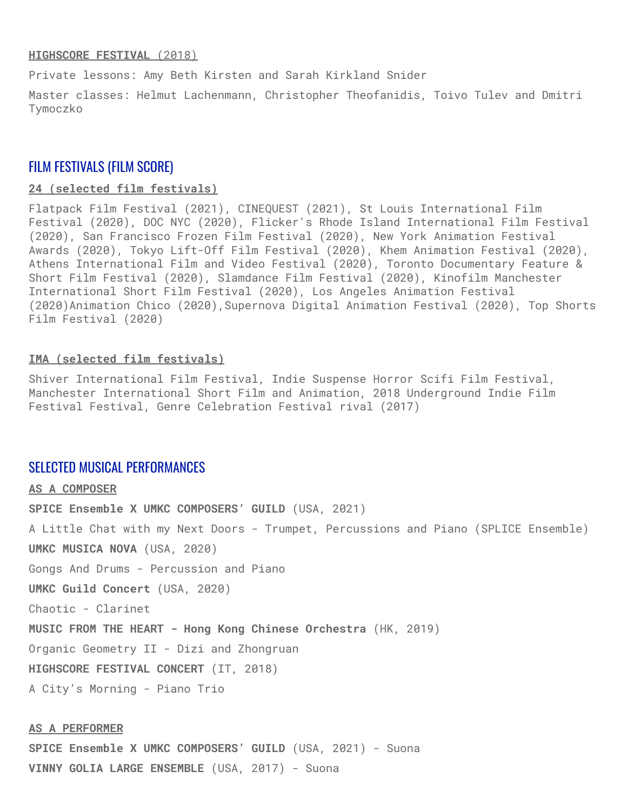#### **HIGHSCORE FESTIVAL** (2018)

Private lessons: Amy Beth Kirsten and Sarah Kirkland Snider

Master classes: Helmut Lachenmann, Christopher Theofanidis, Toivo Tulev and Dmitri Tymoczko

#### FILM FESTIVALS (FILM SCORE)

#### **24 (selected film festivals)**

Flatpack Film Festival (2021), CINEQUEST (2021), St Louis International Film Festival (2020), DOC NYC (2020), Flicker's Rhode Island International Film Festival (2020), San Francisco Frozen Film Festival (2020), New York Animation Festival Awards (2020), Tokyo Lift-Off Film Festival (2020), Khem Animation Festival (2020), Athens International Film and Video Festival (2020), Toronto Documentary Feature & Short Film Festival (2020), Slamdance Film Festival (2020), Kinofilm Manchester International Short Film Festival (2020), Los Angeles Animation Festival (2020)Animation Chico (2020),Supernova Digital Animation Festival (2020), Top Shorts Film Festival (2020)

#### **IMA (selected film festivals)**

Shiver International Film Festival, Indie Suspense Horror Scifi Film Festival, Manchester International Short Film and Animation, 2018 Underground Indie Film Festival Festival, Genre Celebration Festival rival (2017)

#### SELECTED MUSICAL PERFORMANCES

**AS A COMPOSER SPICE Ensemble X UMKC COMPOSERS' GUILD** (USA, 2021) A Little Chat with my Next Doors - Trumpet, Percussions and Piano (SPLICE Ensemble) **UMKC MUSICA NOVA** (USA, 2020) Gongs And Drums - Percussion and Piano **UMKC Guild Concert** (USA, 2020) Chaotic - Clarinet **MUSIC FROM THE HEART - Hong Kong Chinese Orchestra** (HK, 2019) Organic Geometry II - Dizi and Zhongruan **HIGHSCORE FESTIVAL CONCERT** (IT, 2018) A City's Morning - Piano Trio

#### **AS A PERFORMER**

**SPICE Ensemble X UMKC COMPOSERS' GUILD** (USA, 2021) - Suona **VINNY GOLIA LARGE ENSEMBLE** (USA, 2017) - Suona